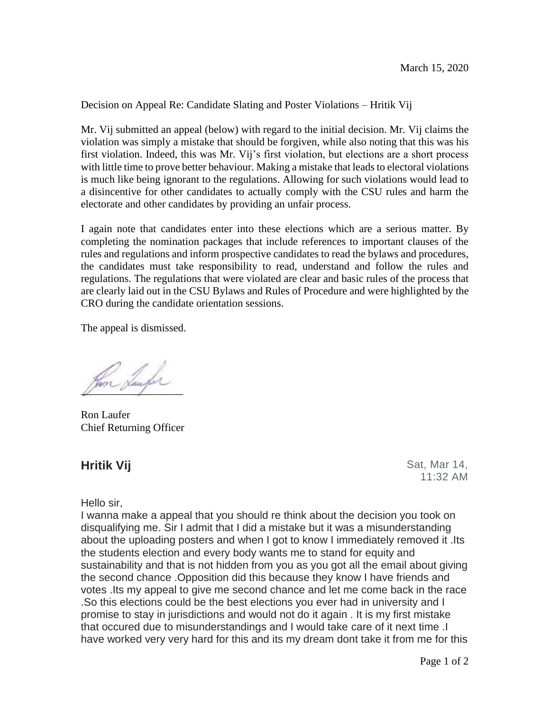Decision on Appeal Re: Candidate Slating and Poster Violations – Hritik Vij

Mr. Vij submitted an appeal (below) with regard to the initial decision. Mr. Vij claims the violation was simply a mistake that should be forgiven, while also noting that this was his first violation. Indeed, this was Mr. Vij's first violation, but elections are a short process with little time to prove better behaviour. Making a mistake that leads to electoral violations is much like being ignorant to the regulations. Allowing for such violations would lead to a disincentive for other candidates to actually comply with the CSU rules and harm the electorate and other candidates by providing an unfair process.

I again note that candidates enter into these elections which are a serious matter. By completing the nomination packages that include references to important clauses of the rules and regulations and inform prospective candidates to read the bylaws and procedures, the candidates must take responsibility to read, understand and follow the rules and regulations. The regulations that were violated are clear and basic rules of the process that are clearly laid out in the CSU Bylaws and Rules of Procedure and were highlighted by the CRO during the candidate orientation sessions.

The appeal is dismissed.

an Sanfor

Ron Laufer Chief Returning Officer

**Hritik Vij** Sat, Mar 14, 11:32 AM

Hello sir,

I wanna make a appeal that you should re think about the decision you took on disqualifying me. Sir I admit that I did a mistake but it was a misunderstanding about the uploading posters and when I got to know I immediately removed it .Its the students election and every body wants me to stand for equity and sustainability and that is not hidden from you as you got all the email about giving the second chance .Opposition did this because they know I have friends and votes .Its my appeal to give me second chance and let me come back in the race .So this elections could be the best elections you ever had in university and I promise to stay in jurisdictions and would not do it again . It is my first mistake that occured due to misunderstandings and I would take care of it next time .I have worked very very hard for this and its my dream dont take it from me for this